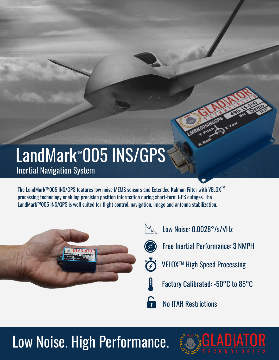## LandMark™005 INS/GPS Inertial Navigation System

The LandMark™005 INS/GPS features low noise MEMS sensors and Extended Kalman Filter with VELOXTM processing technology enabling precision position information during short-term GPS outages. The LandMark™005 INS/GPS is well suited for flight control, navigation, image and antenna stabilization.



- $\mathbb{M}_{\mathcal{N}}$  Low Noise: 0.0028°/s/√Hz
- - Free Inertial Performance: 3 NMPH
	- VELOX™ High Speed Processing
	- Factory Calibrated: -50°C to 85°C

No ITAR Restrictions

## Low Noise. High Performance.